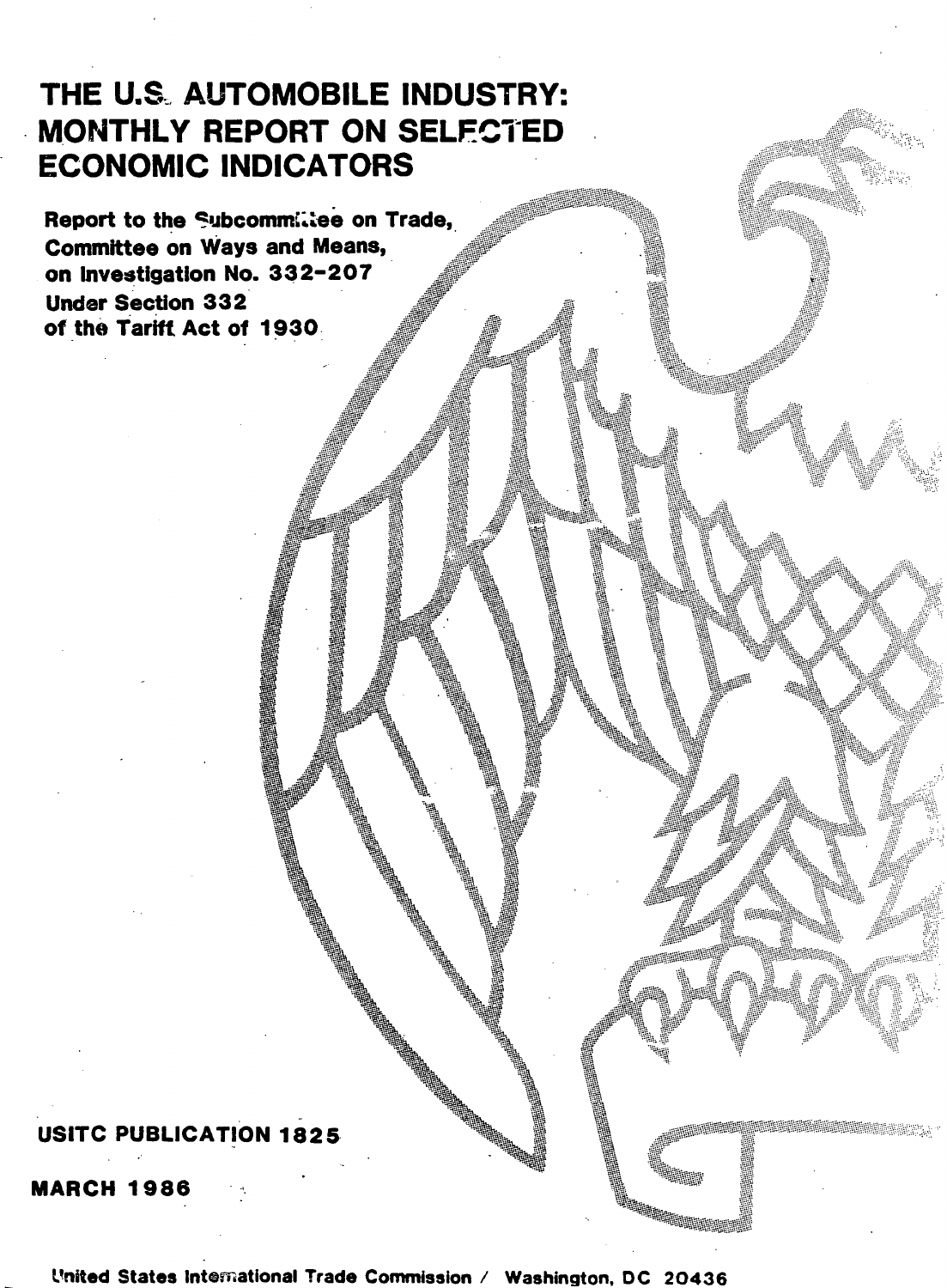# THE U.S. AUTOMOBILE INDUSTRY: MONTHLY REPORT ON SELECTED **ECONOMIC INDICATORS**

Report to the Subcommiliee on Trade, **Committee on Ways and Means,** on Investigation No. 332-207 **Under Section 332** of the Tariff Act of 1930

## **USITC PUBLICATION 1825**

**MARCH 1986** 

United States International Trade Commission / Washington, DC 20436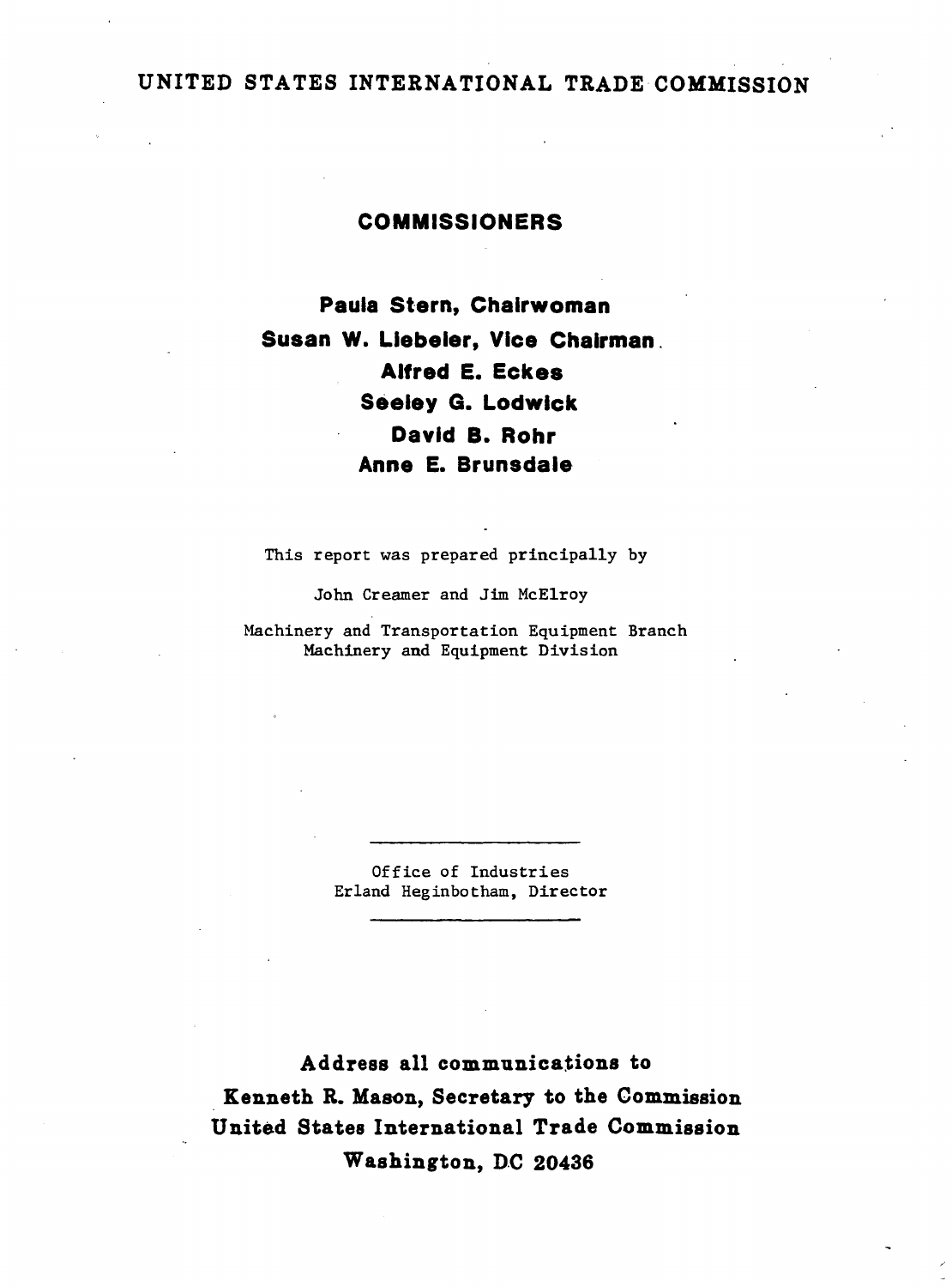### UNITED STATES INTERNATIONAL TRADE COMMISSION

#### COMMISSIONERS

Paula Stern, Chairwoman Susan W. Llebeler, Vice Chairman . Alfred E. Eckes Seeley G. Lodwick David B. Rohr Anne E. Brunsdale

This report was prepared principally by

John Creamer and Jim McElroy

Machinery and Transportation Equipment Branch Machinery and Equipment Division

> Office of Industries Erland Heginbotham, Director

Address all communications to . Kenneth R. Mason., Secretary to the Commission United States International Trade Commission Washington, DC 20436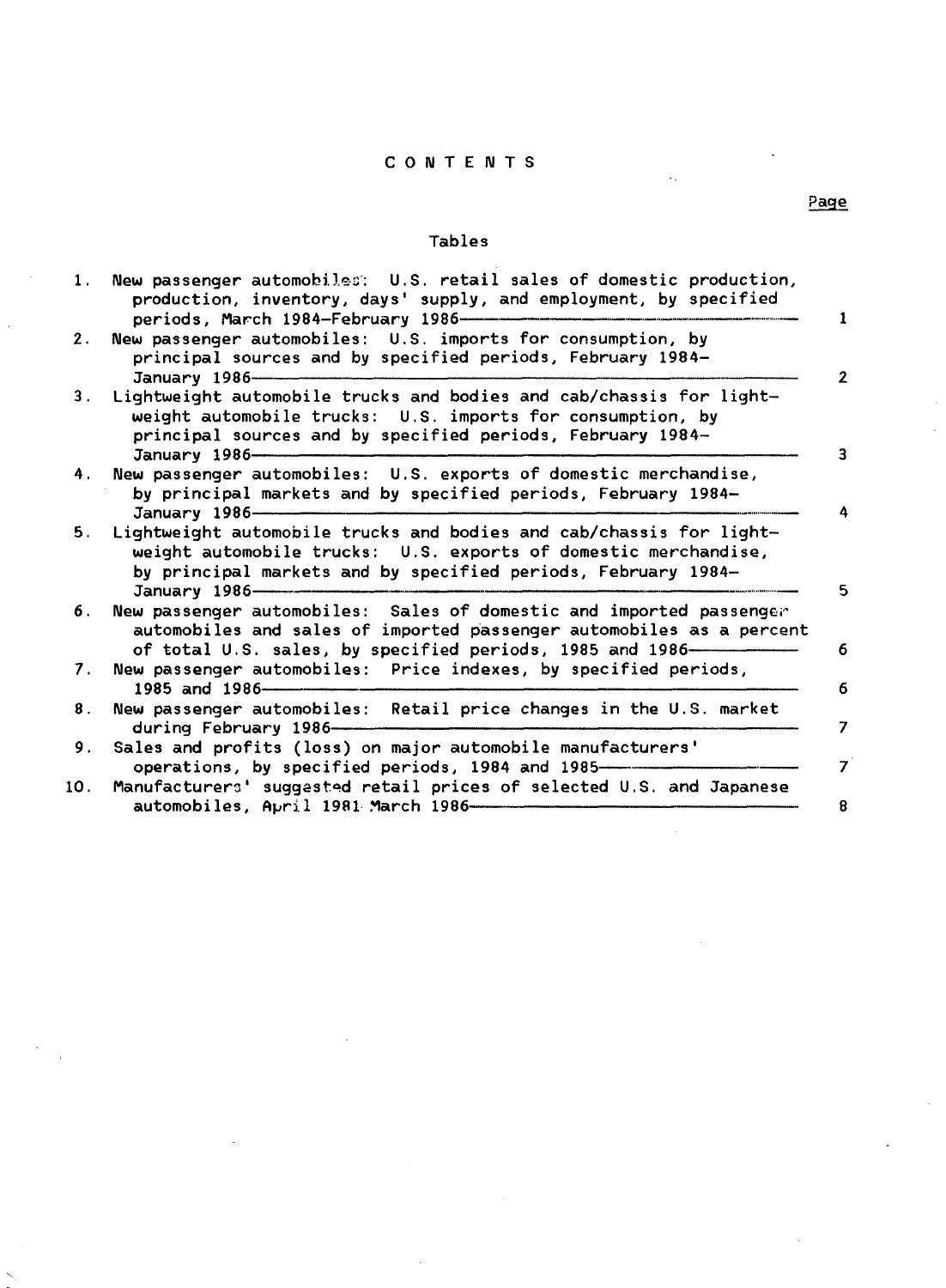#### CONTENTS

#### Tables

| 1.  | New passenger automobiles: U.S. retail sales of domestic production,<br>production, inventory, days' supply, and employment, by specified<br>periods, March 1984-February 1986-                                          |
|-----|--------------------------------------------------------------------------------------------------------------------------------------------------------------------------------------------------------------------------|
| 2.  | New passenger automobiles: U.S. imports for consumption, by<br>principal sources and by specified periods, February 1984-<br>January 1986-                                                                               |
| 3.  | Lightweight automobile trucks and bodies and cab/chassis for light-<br>weight automobile trucks: U.S. imports for consumption, by<br>principal sources and by specified periods, February 1984-<br>January 1986-         |
| 4.  | New passenger automobiles: U.S. exports of domestic merchandise,<br>by principal markets and by specified periods, February 1984-<br>January 1986-                                                                       |
| 5.  | Lightweight automobile trucks and bodies and cab/chassis for light-<br>weight automobile trucks: U.S. exports of domestic merchandise,<br>by principal markets and by specified periods, February 1984-<br>January 1986- |
| 6.  | New passenger automobiles: Sales of domestic and imported passenger<br>automobiles and sales of imported passenger automobiles as a percent<br>of total U.S. sales, by specified periods, 1985 and 1986—                 |
| 7.  | New passenger automobiles: Price indexes, by specified periods,<br>1985 and 1986-                                                                                                                                        |
| 8.  | New passenger automobiles: Retail price changes in the U.S. market<br>during February 1986-                                                                                                                              |
| 9.  | Sales and profits (loss) on major automobile manufacturers'<br>operations, by specified periods, 1984 and 1985-                                                                                                          |
| 10. | Manufacturers' suggested retail prices of selected U.S. and Japanese<br>automobiles, April 1981 March 1986-                                                                                                              |

### Page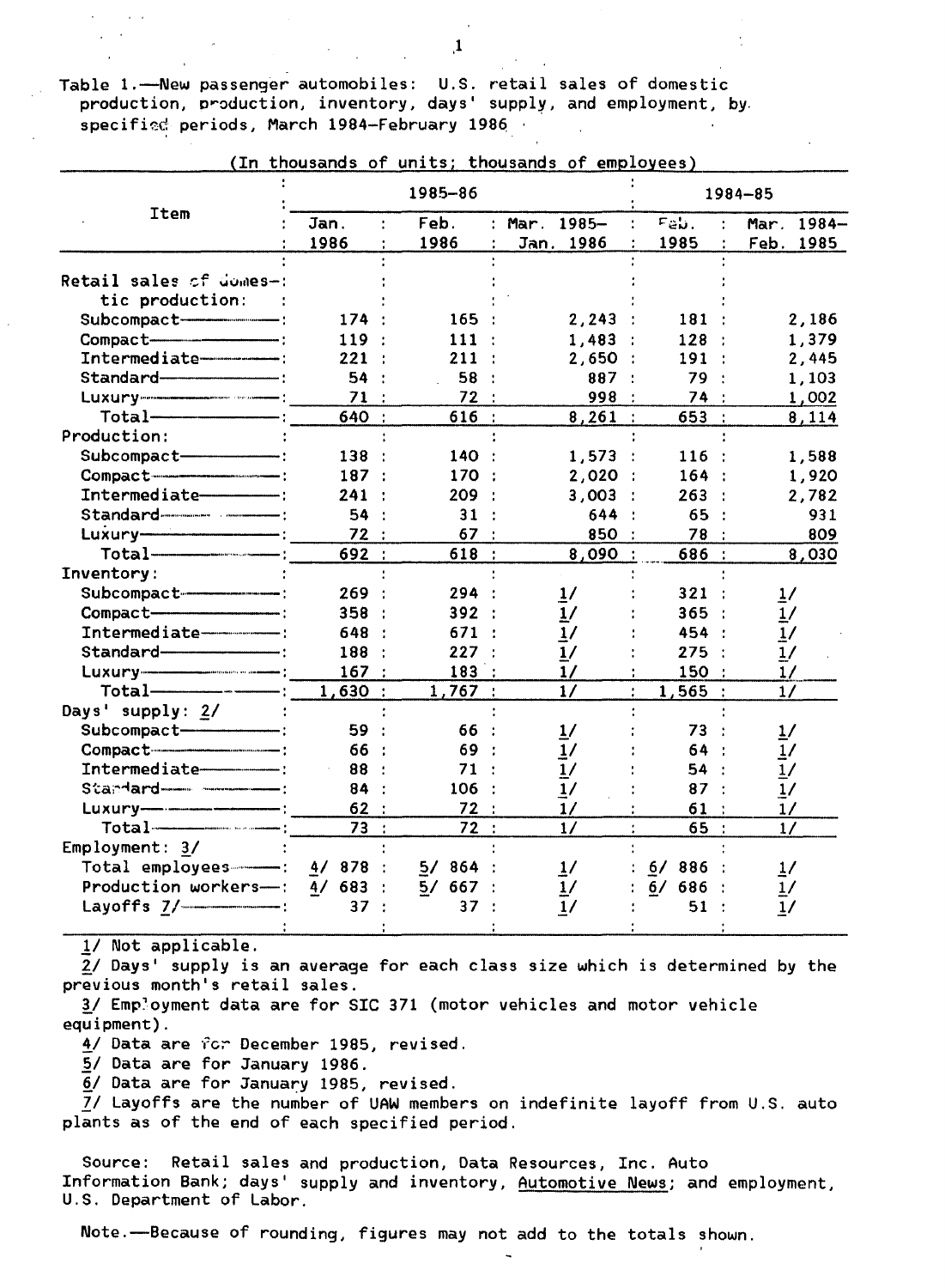,1

Table 1.--New passenger automobiles: U.S. retail sales of domestic production, production, inventory, days' supply, and employment, by. specified periods, March 1984-February 1986

|                                |           | 1985-86   |                   | 1984-85   |               |  |  |
|--------------------------------|-----------|-----------|-------------------|-----------|---------------|--|--|
| <b>Item</b>                    | Jan.      | Feb.      | Mar. 1985-        | Fab.      | Mar. 1984-    |  |  |
|                                | 1986      | 1986      | Jan. 1986         | 1985      | Feb. 1985     |  |  |
| Retail sales of domes-:        |           |           |                   |           |               |  |  |
| tic production:                |           |           |                   |           |               |  |  |
| Subcompact-                    | 174:      | 165:      | 2,243             | 181:      | 2,186         |  |  |
| Compact-                       | 119:      | 111:      | 1,483:            | 128:      | 1,379         |  |  |
| Intermediate-----------        | 221       | 211       | 2,650<br>$\sim$ 1 | 191:      | 2,445         |  |  |
| Standard-                      | 54        | 58        | 887               | 79        | 1,103         |  |  |
|                                | 71:       | 72        | 998               | 74 :      | 1,002         |  |  |
|                                | 640 :     | 616:      | 8,261             | 653 :     | 8,114         |  |  |
| Production:                    |           |           |                   |           |               |  |  |
| Subcompact-                    | 138       | 140 :     | 1,573             | 116:      | 1,588         |  |  |
| Compact-                       | 187:      | 170       | 2,020             | 164:      | 1,920         |  |  |
| Intermediate-----------        | 241       | 209       | 3,003             | 263:      | 2,782         |  |  |
| Standard                       | 54:       | 31        | 644               | 65        | 931           |  |  |
| <b>.</b>                       | 72:       | 67        | 850               | 78 :      | 809           |  |  |
| Total                          | 692 :     | 618:      | 8,090:            | 686 :     | 8,030         |  |  |
| Inventory:                     |           |           |                   |           |               |  |  |
| Subcompact---------------      | 269:      | 294       | $\frac{1}{2}$     | 321       | $\frac{1}{2}$ |  |  |
| Compact-                       | 358:      | 392:      | 1/                | 365:      | 1/            |  |  |
| Intermediate---------          | 648 :     | 671       |                   | 454 :     | 1/            |  |  |
|                                | 188       | 227       | 17                | 275:      | <u>1/</u>     |  |  |
|                                | 167:      | 183       | 1/                | 150       | 1/            |  |  |
| $\overline{\phantom{a}}$ :     | 1,630:    | 1,767:    | 1/                | 1,565:    | 1/            |  |  |
| Days' supply: 2/               |           |           |                   |           |               |  |  |
| Subcompact-<br>$\blacksquare$  | 59 -      | 66 :      | $\frac{1}{2}$     | 73        | 1/            |  |  |
|                                | 66 :      | 69 :      | 1/                | 64        | 1/            |  |  |
| Intermediate-----------        | 88 :      | 71 :      | 1/                | 54        | 1/            |  |  |
|                                | 84:       | 106       | 1/                | 87        | 17            |  |  |
| $\overline{\phantom{a}}$       | 62:       | 72:       | 1/                | 61        | 1/            |  |  |
| $Total$ $\frac{1}{1}$          | 73 :      | 72:       | 1/                | 65:       | 1/            |  |  |
| Employment: 3/                 |           |           |                   |           |               |  |  |
| Total employees---- : 4/ 878 : |           | 5/864     | 1/                | $6/886$ : | 1/            |  |  |
| Production workers-:           | $4/683$ : | $5/667$ : | 1/                | $6/686$ : | <u>1</u> /    |  |  |
| Layoffs $7/$ ____________.     | 37        | 37        | 1/                | 51        | 1/            |  |  |
|                                |           |           |                   |           |               |  |  |

(In thousands of units; thousands of employees)

*11* Not applicable.

2/ Days' supply is an average for each class size which is determined by the previous month's retail sales.

!/ Emp~oyment data are for SIC 371 (motor vehicles and motor vehicle equipment).

*ii* Data are ·(c;- December 1985, revised.

5/ Data are for January 1986.

 $6/$  Data are for January 1985, revised.

*ZI* Layoffs are the number of UAW members on indefinite layoff from U.S. auto plants as of the end of each specified period.

Source: Retail sales and production, Data Resources, Inc. Auto Information Bank; days' supply and inventory, Automotive News; and employment, U.S. Department of Labor.

Note.-Because of rounding, figures may not add to the totals shown.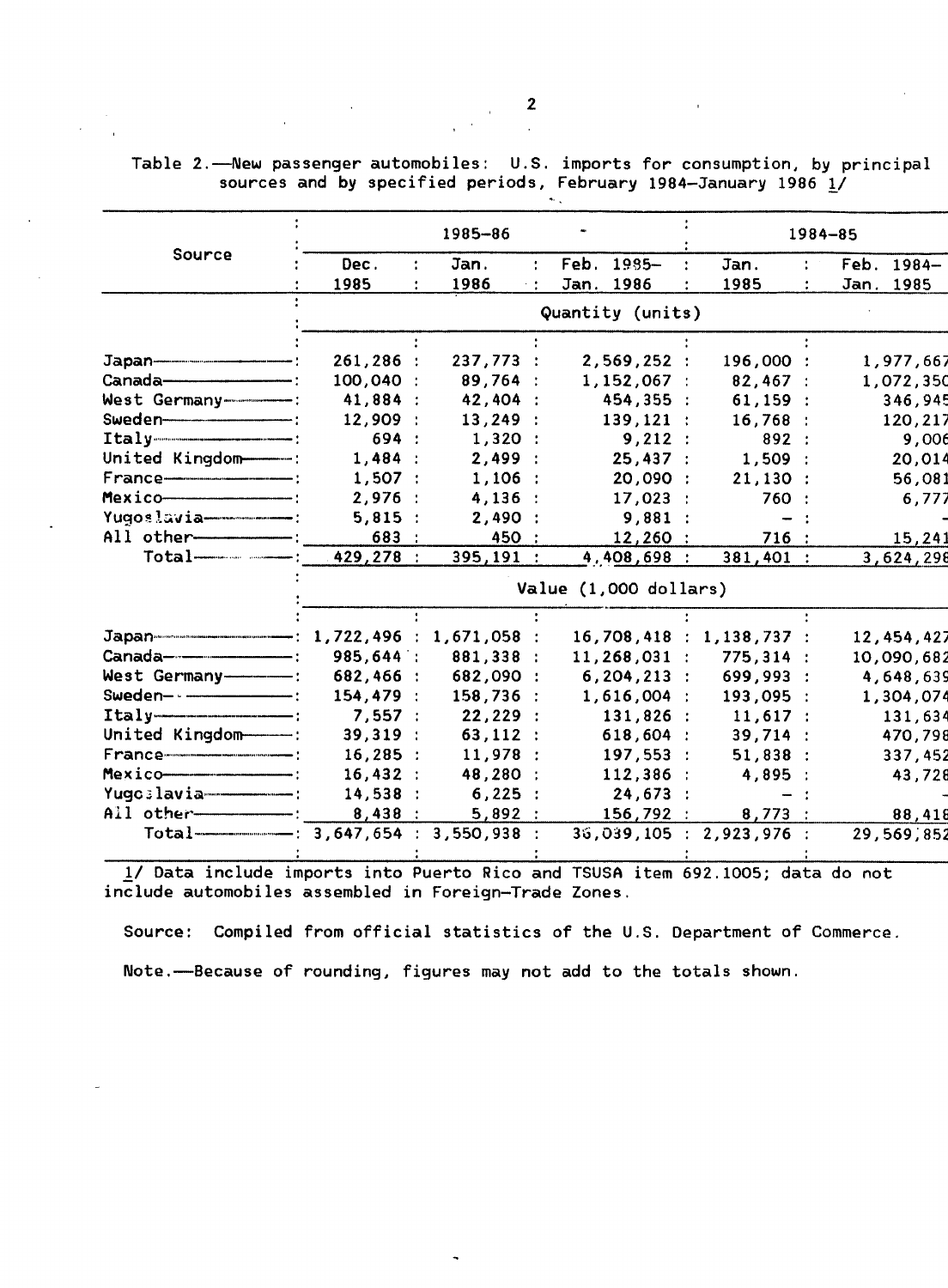|  | Table 2.—New passenger automobiles: U.S. imports for consumption, by principal |  |  |  |
|--|--------------------------------------------------------------------------------|--|--|--|
|  | sources and by specified periods, February 1984-January 1986 1/                |  |  |  |
|  |                                                                                |  |  |  |

|                                                      |                         |  | 1985-86   |                |                          |  |             |                | $1984 - 85$  |         |  |  |  |
|------------------------------------------------------|-------------------------|--|-----------|----------------|--------------------------|--|-------------|----------------|--------------|---------|--|--|--|
| Source                                               | Dec.                    |  | Jan.      | $\ddot{\cdot}$ | Feb. 1985-               |  | Jan.        |                | Feb. 1984-   |         |  |  |  |
|                                                      | 1985                    |  | 1986      |                | Jan. 1986                |  | 1985        | $\ddot{\cdot}$ | Jan. 1985    |         |  |  |  |
|                                                      |                         |  |           |                | Quantity (units)         |  |             |                |              |         |  |  |  |
|                                                      |                         |  |           |                |                          |  |             |                |              |         |  |  |  |
|                                                      | 261, 286:               |  | 237,773:  |                | 2,569,252:               |  | 196,000 :   |                | 1,977,667    |         |  |  |  |
|                                                      | 100,040 :               |  | 89,764:   |                | $1,152,067$ :            |  | 82,467:     |                | 1,072,350    |         |  |  |  |
| West Germany-------------                            | 41,884 :                |  | 42,404 :  |                | 454,355 :                |  | 61,159:     |                |              | 346,945 |  |  |  |
|                                                      | 12,909:                 |  | 13,249:   |                | 139, 121:                |  | 16,768:     |                |              | 120,217 |  |  |  |
| $Itally$ = $\qquad$ :                                | 694 :                   |  | 1,320:    |                | 9,212:                   |  | 892:        |                |              | 9,006   |  |  |  |
| United Kingdom                                       | 1,484:                  |  | 2,499:    |                | 25,437:                  |  | 1,509:      |                |              | 20,014  |  |  |  |
|                                                      | 1,507:                  |  | $1,106$ : |                | 20,090 :                 |  | 21,130:     |                |              | 56,081  |  |  |  |
| Mexico                                               | 2,976                   |  | $4,136$ : |                | 17,023:                  |  | 760 :       |                |              | 6,777   |  |  |  |
|                                                      | 5,815:                  |  | 2,490:    |                | 9,881 :                  |  |             |                |              |         |  |  |  |
| All other------------                                | 683 :                   |  | 450 :     |                | 12,260 :                 |  | 716 :       |                |              | 15,241  |  |  |  |
| $Total$ $---$ :                                      | $429, 278$ :            |  | 395,191 : |                | 4,408,698 :              |  | $381,401$ : |                | 3,624,298    |         |  |  |  |
|                                                      | Value $(1,000$ dollars) |  |           |                |                          |  |             |                |              |         |  |  |  |
|                                                      |                         |  |           |                |                          |  |             |                |              |         |  |  |  |
|                                                      |                         |  |           |                | 16,708,418 : 1,138,737 : |  |             |                | 12, 454, 427 |         |  |  |  |
|                                                      | 985,644 :               |  | 881,338 : |                | $11, 268, 031$ :         |  | 775,314:    |                | 10,090,682   |         |  |  |  |
| West Germany------                                   | 682,466 :               |  | 682,090 : |                | $6, 204, 213$ :          |  | 699,993 :   |                | 4,648,639    |         |  |  |  |
|                                                      | 154,479 :               |  | 158,736:  |                | 1,616,004:               |  | 193,095 :   |                | 1,304,074    |         |  |  |  |
| $Itally$ = $\qquad$ :                                | 7,557:                  |  | 22,229:   |                | 131,826 :                |  | 11,617:     |                |              | 131,634 |  |  |  |
| United Kingdom                                       | 39,319:                 |  | 63,112:   |                | 618,604:                 |  | 39,714:     |                | 470,798      |         |  |  |  |
|                                                      | $16,285$ :              |  | 11,978    |                | 197,553 :                |  | 51,838:     |                | 337,452      |         |  |  |  |
| $Mexico$ $-$                                         | 16,432:                 |  | 48,280 :  |                | 112,386:                 |  | 4,895 :     |                |              | 43,728  |  |  |  |
| Yugoslavia----------------                           | 14,538                  |  | 6,225:    |                | 24,673:                  |  |             |                |              |         |  |  |  |
|                                                      | 8,438:                  |  | 5,892:    |                | 156,792 :                |  | 8,773:      |                |              | 88,418  |  |  |  |
| Total--------------------- : 3,647,654 : 3,550,938 : |                         |  |           |                | 36,039,105 : 2,923,976 : |  |             |                | 29,569,852   |         |  |  |  |
|                                                      |                         |  |           |                |                          |  |             |                |              |         |  |  |  |

1/ Data include imports into Puerto Rico and TSUSA item 692.1005; data do not include automobiles assembled in Foreign-Trade Zones.

Source: Compiled from official statistics of the U.S. Department of Commerce.

Note.-Because of rounding, figures may not add to the totals shown.

 $\overline{\phantom{a}}$  2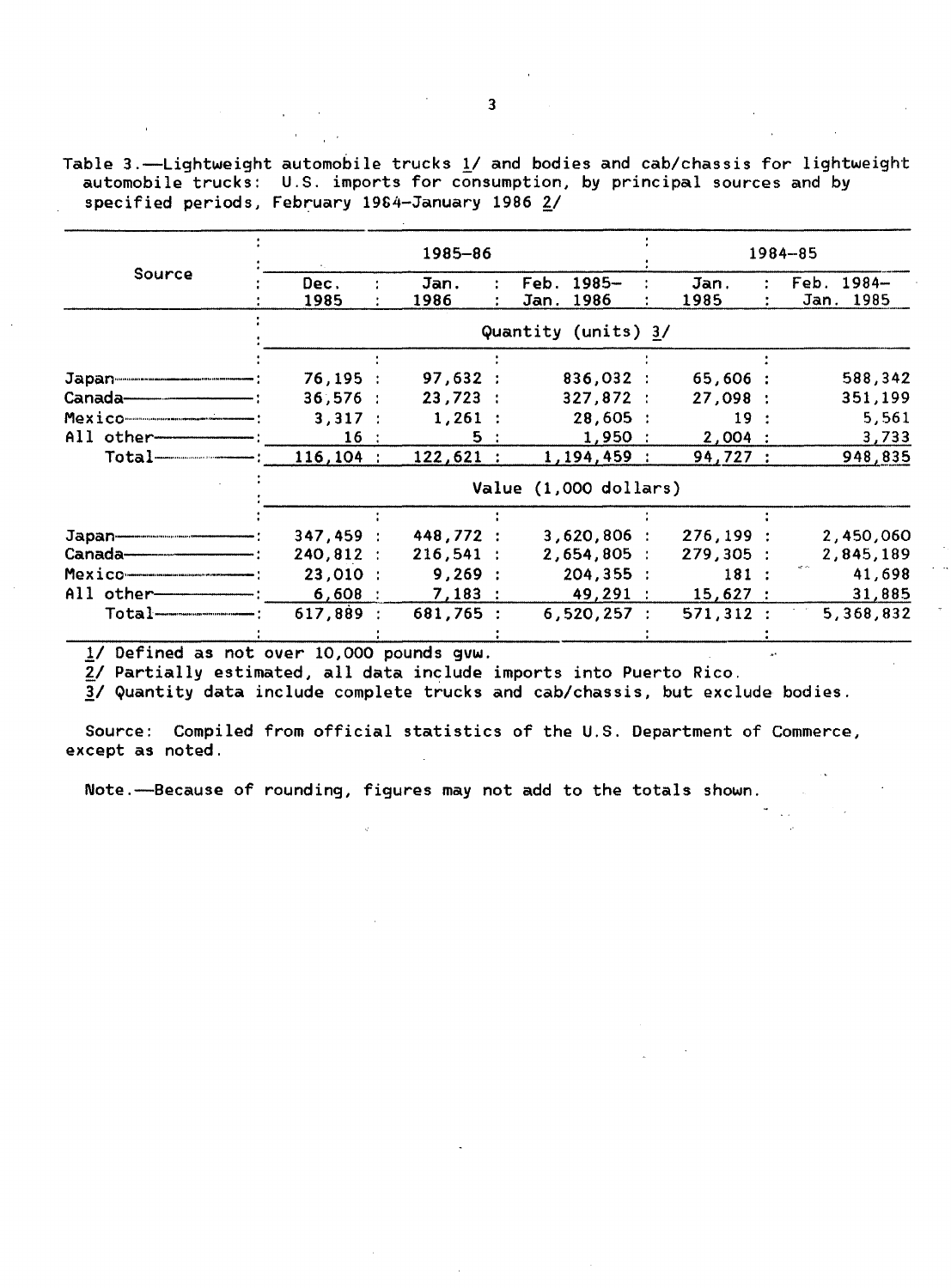Table 3.-Lightweight automobile trucks *11* and bodies and cab/chassis for lightweight automobile trucks: U.S. imports for consumption, by principal sources and by specified periods, February 1984-January 1986 2/

|                                     |                       | 1985-86      |  |                               |  | 1984-85      |  |                         |  |  |  |
|-------------------------------------|-----------------------|--------------|--|-------------------------------|--|--------------|--|-------------------------|--|--|--|
| Source                              | Dec.<br>1985          | Jan.<br>1986 |  | $1985 -$<br>Feb.<br>Jan. 1986 |  | Jan.<br>1985 |  | Feb. 1984-<br>Jan. 1985 |  |  |  |
|                                     |                       |              |  | Quantity (units) 3/           |  |              |  |                         |  |  |  |
|                                     |                       |              |  |                               |  |              |  |                         |  |  |  |
|                                     | 76, 195:              | 97,632:      |  | 836,032 :                     |  | 65,606:      |  | 588,342                 |  |  |  |
| Canada-                             | 36,576:               | 23,723:      |  | 327,872:                      |  | 27,098:      |  | 351,199                 |  |  |  |
|                                     | 3,317:                | $1,261$ :    |  | 28,605:                       |  | 19:          |  | 5,561                   |  |  |  |
| All other-                          | 16:                   | 5:           |  | 1,950:                        |  | 2,004:       |  | 3,733                   |  |  |  |
| Total <del>------------------</del> | $116, 104$ :          | 122,621:     |  | 1,194,459:                    |  | 94,727:      |  | 948,835                 |  |  |  |
|                                     | Value (1,000 dollars) |              |  |                               |  |              |  |                         |  |  |  |
|                                     |                       |              |  |                               |  |              |  |                         |  |  |  |
| Japan-                              | 347,459:              | 448,772 :    |  | $3,620,806$ :                 |  | 276, 199:    |  | 2,450,060               |  |  |  |
| Canada-                             | 240.812:              | $216,541$ :  |  | 2,654,805:                    |  | 279,305:     |  | 2,845,189               |  |  |  |
| Mexico                              | 23,010 :              | 9,269:       |  | 204, 355:                     |  | 181:         |  | 41,698                  |  |  |  |
| All other-                          | 6,608:                | 7,183:       |  | 49.291 :                      |  | 15,627:      |  | 31,885                  |  |  |  |
|                                     | 617,889:              | 681,765 :    |  | 6,520,257:                    |  | 571,312:     |  | 5,368,832               |  |  |  |

*11* Defined as not over 10,000 pounds gvw.

 $2/$  Partially estimated, all data include imports into Puerto Rico.

*11* Quantity data include complete trucks and cab/chassis, but exclude bodies.

Source: Compiled from official statistics of the U.S. Department of Commerce, except as noted.

Note.-Because of rounding, figures may not add to the totals shown.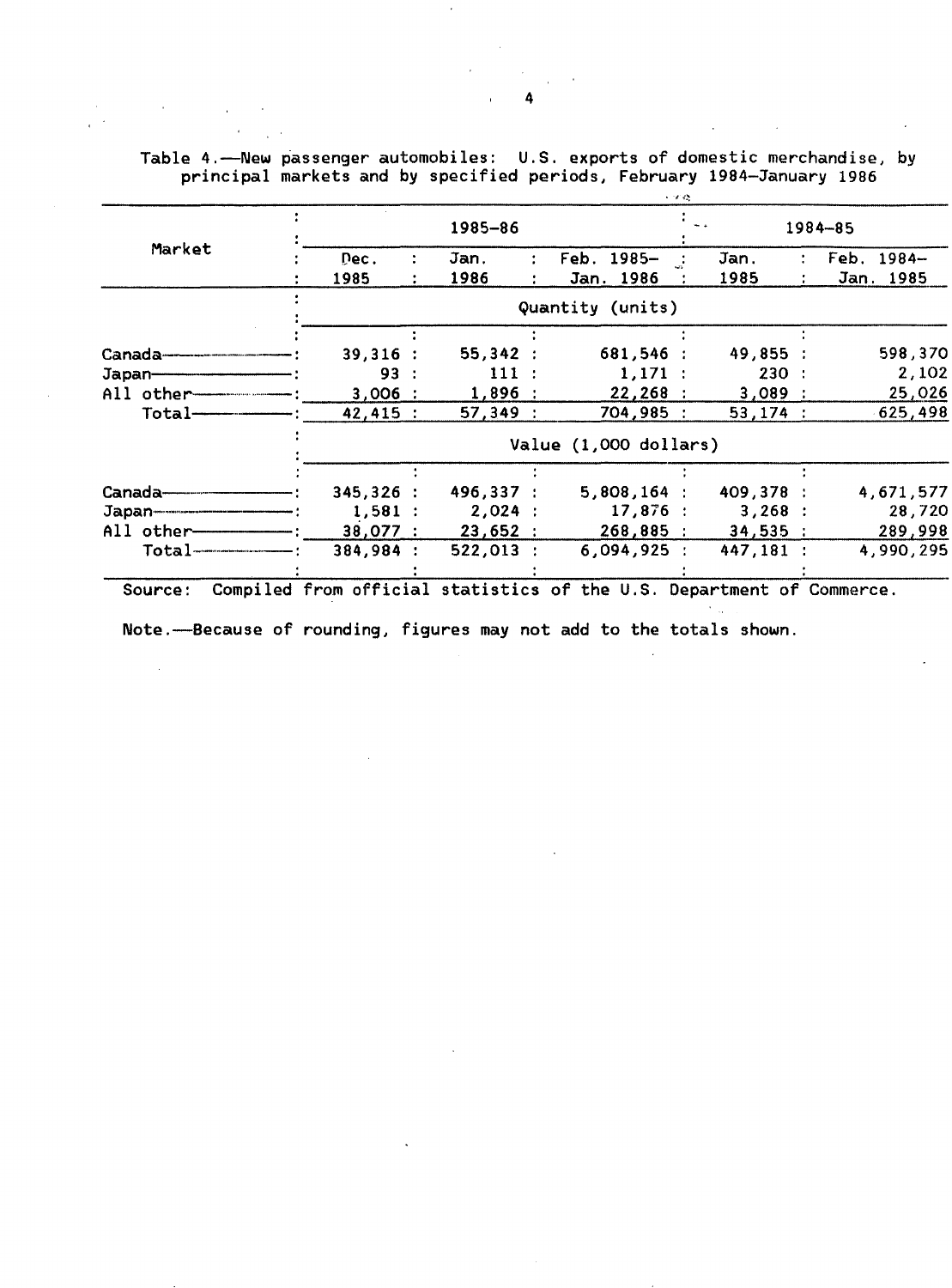Table 4.-New passenger automobiles: U.S. exports of domestic merchandise, by principal markets and by specified periods, February 1984-January 1986

|                       |           | 1985-86               |             |  |                  |           |           |  | 1984-85    |  |  |  |  |
|-----------------------|-----------|-----------------------|-------------|--|------------------|-----------|-----------|--|------------|--|--|--|--|
| Market                | Dec.      |                       | Jan.        |  | Feb. 1985-       |           | Jan.      |  | Feb. 1984- |  |  |  |  |
|                       | 1985      |                       | 1986        |  | Jan. 1986        |           | 1985      |  | Jan. 1985  |  |  |  |  |
|                       |           |                       |             |  | Quantity (units) |           |           |  |            |  |  |  |  |
|                       |           |                       |             |  |                  |           |           |  |            |  |  |  |  |
| Canada-               | 39,316:   |                       | 55,342:     |  | 681,546 :        |           | 49,855:   |  | 598,370    |  |  |  |  |
| Japan-                | 93        |                       | 111:        |  |                  | $1,171$ : | 230:      |  | 2,102      |  |  |  |  |
| All other-            | 3,006:    |                       | $1,896$ :   |  |                  | 22,268:   | 3,089:    |  | 25,026     |  |  |  |  |
| Total-                | 42,415:   |                       | 57,349:     |  | 704,985 :        |           | 53,174:   |  | 625,498    |  |  |  |  |
|                       |           | Value (1,000 dollars) |             |  |                  |           |           |  |            |  |  |  |  |
|                       |           |                       |             |  |                  |           |           |  |            |  |  |  |  |
| Canada———             | 345,326:  |                       | 496,337:    |  | $5,808,164$ :    |           | 409,378 : |  | 4,671,577  |  |  |  |  |
|                       | 1,581:    |                       | 2,024:      |  |                  | 17,876:   | 3,268:    |  | 28,720     |  |  |  |  |
| All other-            | 38,077 :  |                       | 23,652:     |  | 268,885:         |           | 34,535:   |  | 289,998    |  |  |  |  |
| $Total$ $\frac{1}{2}$ | 384,984 : |                       | $522,013$ : |  | 6,094,925:       |           | 447,181 : |  | 4,990,295  |  |  |  |  |
|                       |           |                       |             |  |                  |           |           |  |            |  |  |  |  |

Source: Compiled from official statistics of the U.S. Department of Commerce.

Note.—Because of rounding, figures may not add to the totals shown.

 $\sim$ 

 $\mathcal{F}_{\text{max}}$ 

 $\sim$ 

 $\sim$ 

 $\ddot{\phantom{a}}$ 

 $\mathcal{L}^{\mathcal{L}}$  and  $\mathcal{L}^{\mathcal{L}}$  are the set of the set of  $\mathcal{L}^{\mathcal{L}}$ 

 $\sim$ 

 $\sim 100$ 

 $\mathcal{L}_{\mathbf{A}}$  ,  $\mathcal{L}_{\mathbf{A}}$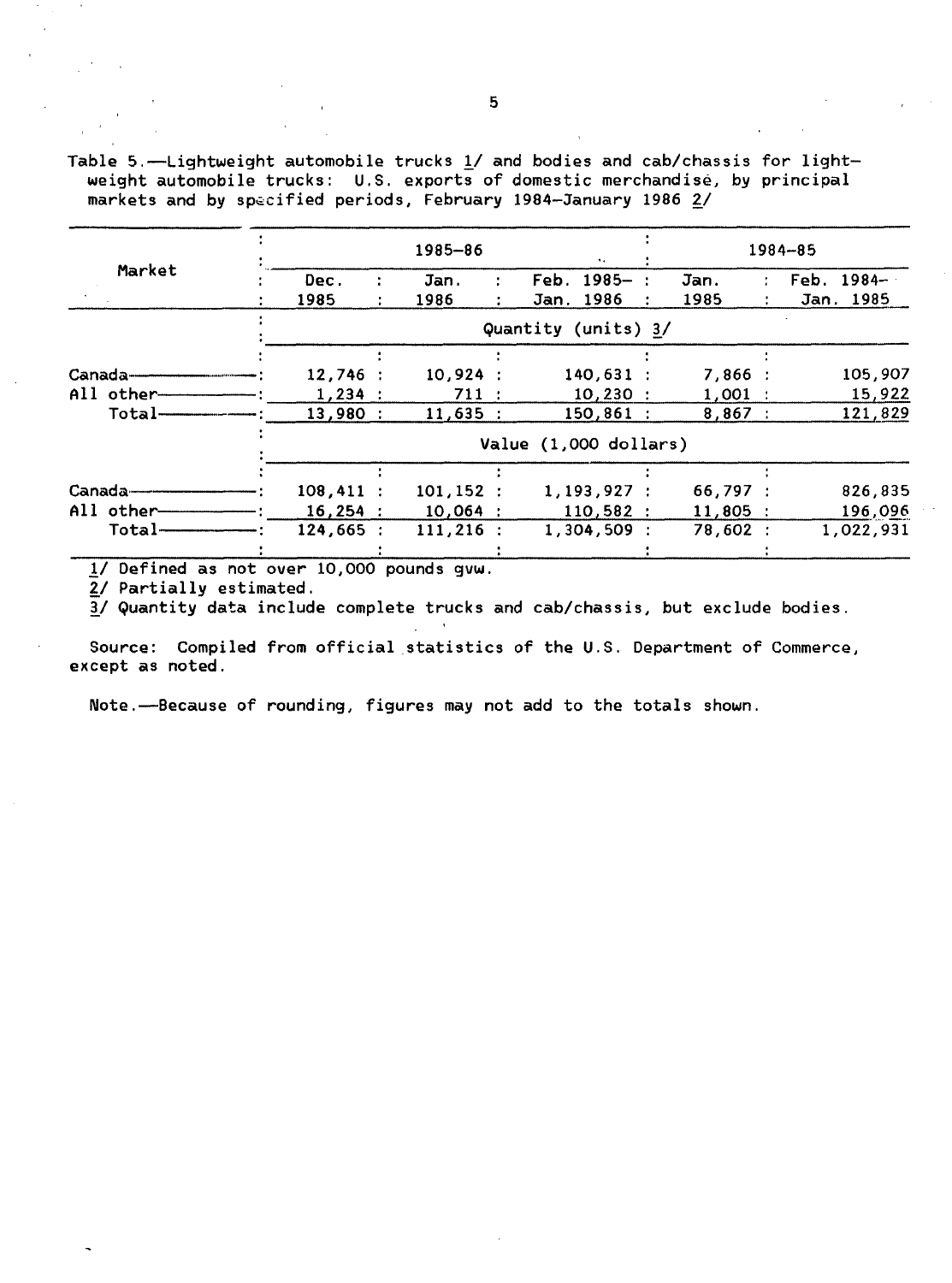Table 5.-Lightweight automobile trucks  $1/$  and bodies and cab/chassis for lightweight automobile trucks: U.S. exports of domestic merchandise, by principal markets and by specified periods, February 1984-January 1986 2/

|                     |                       |  | 1985-86      |  | 1984-85                     |            |            |  |            |  |  |
|---------------------|-----------------------|--|--------------|--|-----------------------------|------------|------------|--|------------|--|--|
| Market              | Dec.                  |  | Jan.         |  | $\mathsf{Feb.} \; 1985 - :$ |            | Jan.       |  | Feb. 1984- |  |  |
|                     | 1985                  |  | 1986         |  | Jan. 1986                   |            | 1985       |  | Jan. 1985  |  |  |
|                     | Quantity (units) 3/   |  |              |  |                             |            |            |  |            |  |  |
|                     |                       |  |              |  |                             |            |            |  |            |  |  |
| $Canada$ ——         | 12,746:               |  | 10,924:      |  | $140,631$ :                 |            | 7,866:     |  | 105,907    |  |  |
| All other-          | $1,234$ :             |  | 711:         |  |                             | $10,230$ : | $1,001$ :  |  | 15,922     |  |  |
| Total-              | 13,980:               |  | 11,635:      |  | $150,861$ :                 |            | 8,867:     |  | 121,829    |  |  |
|                     | Value (1,000 dollars) |  |              |  |                             |            |            |  |            |  |  |
|                     |                       |  |              |  |                             |            |            |  |            |  |  |
| <b>Canada------</b> | $108,411$ :           |  | 101, 152:    |  | 1,193,927:                  |            | 66,797 :   |  | 826,835    |  |  |
| All other-          | 16,254:               |  | $10,064$ :   |  | 110,582:                    |            | $11,805$ : |  | 196,096    |  |  |
| Total-              | 124,665:              |  | $111, 216$ : |  | 1,304,509:                  |            | 78,602:    |  | 1,022,931  |  |  |
|                     |                       |  |              |  |                             |            |            |  |            |  |  |

!/ Defined as not over 10,000 pounds gvw.

2/ Partially estimated.

*11* Quantity data include complete trucks and cab/chassis, but exclude bodies.

Source: Compiled from official statistics of the U.S. Department of Commerce, except as noted.

Note.--Because of rounding, figures may not add to the totals shown.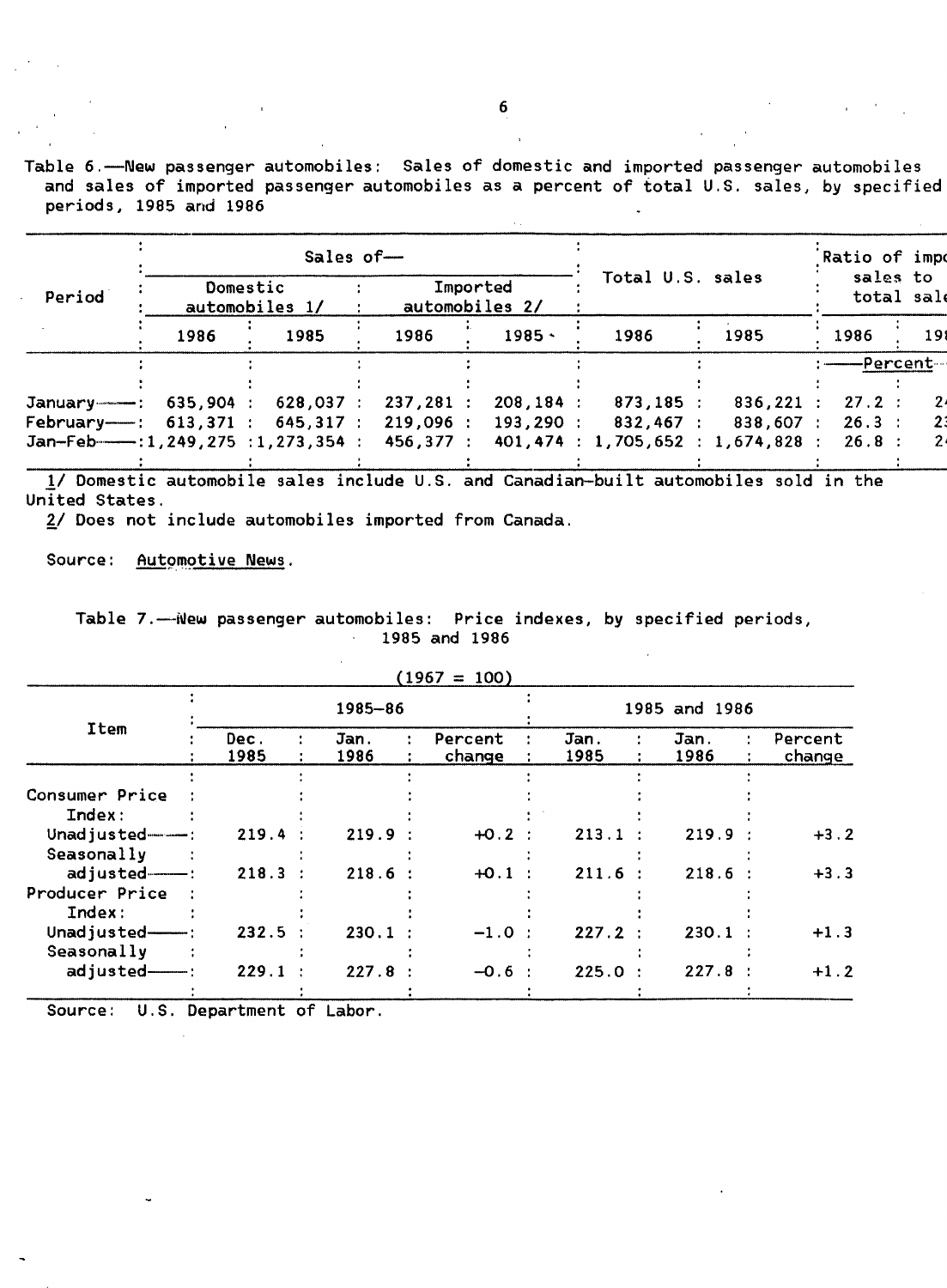Table 6.-New passenger automobiles: Sales of domestic and imported passenger automobiles and sales of imported passenger automobiles as a percent of total U.S. sales, by specified periods, 1985 and 1986

|                                          |      | Sales of-                  |           |                            |                  | Ratio of impo                     |          |            |
|------------------------------------------|------|----------------------------|-----------|----------------------------|------------------|-----------------------------------|----------|------------|
| Period                                   |      | Domestic<br>automobiles 1/ |           | Imported<br>automobiles 2/ | Total U.S. sales | sales to<br>total sale            |          |            |
|                                          | 1986 | 1985                       | 1986      | $1985 -$                   | 1986             | 1985                              | 1986     | 191        |
|                                          |      |                            |           |                            |                  |                                   |          | ——Percent— |
|                                          |      |                            |           |                            |                  |                                   |          |            |
| January --------- : 635,904 :            |      | 628,037:                   | 237,281:  | 208,184:                   | $873,185$ :      | 836,221 :                         | $27.2$ : |            |
| February- $-$ : 613,371 : 645,317 :      |      |                            | 219,096 : |                            | 193,290:832,467: | 838,607 :                         | $26.3$ : |            |
| $Jan-Feb$ $-1, 249, 275 : 1, 273, 354 :$ |      |                            | 456,377 : |                            |                  | 401,474 : 1,705,652 : 1,674,828 : | 26.8:    |            |
|                                          |      |                            |           |                            |                  |                                   |          |            |

*11* Domestic automobile sales include U.S. and Canadian-built automobiles sold in the United States.

£/ Does not include automobiles imported from Canada.

Source: Automotive News.

Table 7.-New passenger automobiles: Price indexes, by specified periods, 1985 and 1986

|                    |              |              | $1707 - 100$      |              |               |       |                   |
|--------------------|--------------|--------------|-------------------|--------------|---------------|-------|-------------------|
|                    |              | 1985-86      |                   |              | 1985 and 1986 |       |                   |
| Item               | Dec.<br>1985 | Jan.<br>1986 | Percent<br>change | Jan.<br>1985 | Jan.<br>1986  |       | Percent<br>change |
|                    |              |              |                   |              |               |       |                   |
| Consumer Price     |              |              |                   |              |               |       |                   |
| Index:             |              |              |                   |              |               |       |                   |
| Unadjusted $---$ : | 219.4        | 219.9        | $+0.2$ :          | 213.1        |               | 219.9 | $+3.2$            |
| Seasonally         |              |              |                   |              |               |       |                   |
| $adjusted$ $-$ :   | $218.3$ :    | 218.6:       | $+0.1$            | 211.6        |               | 218.6 | $+3.3$            |
| Producer Price     |              |              |                   |              |               |       |                   |
| Index:             |              |              |                   |              |               |       |                   |
| Unadjusted-        | 232.5        | $230.1$ :    | $-1.0$            | 227.2        |               | 230.1 | $+1.3$            |
| Seasonally         |              |              |                   |              |               |       |                   |
| adjusted-          | 229.1        | 227.8        | $-0.6$            | 225.0        | $\cdot$       | 227.8 | $+1.2$            |
|                    |              |              |                   |              |               |       |                   |

 $(1967 - 100)$ 

Source: U.S. Department of Labor.

6

is a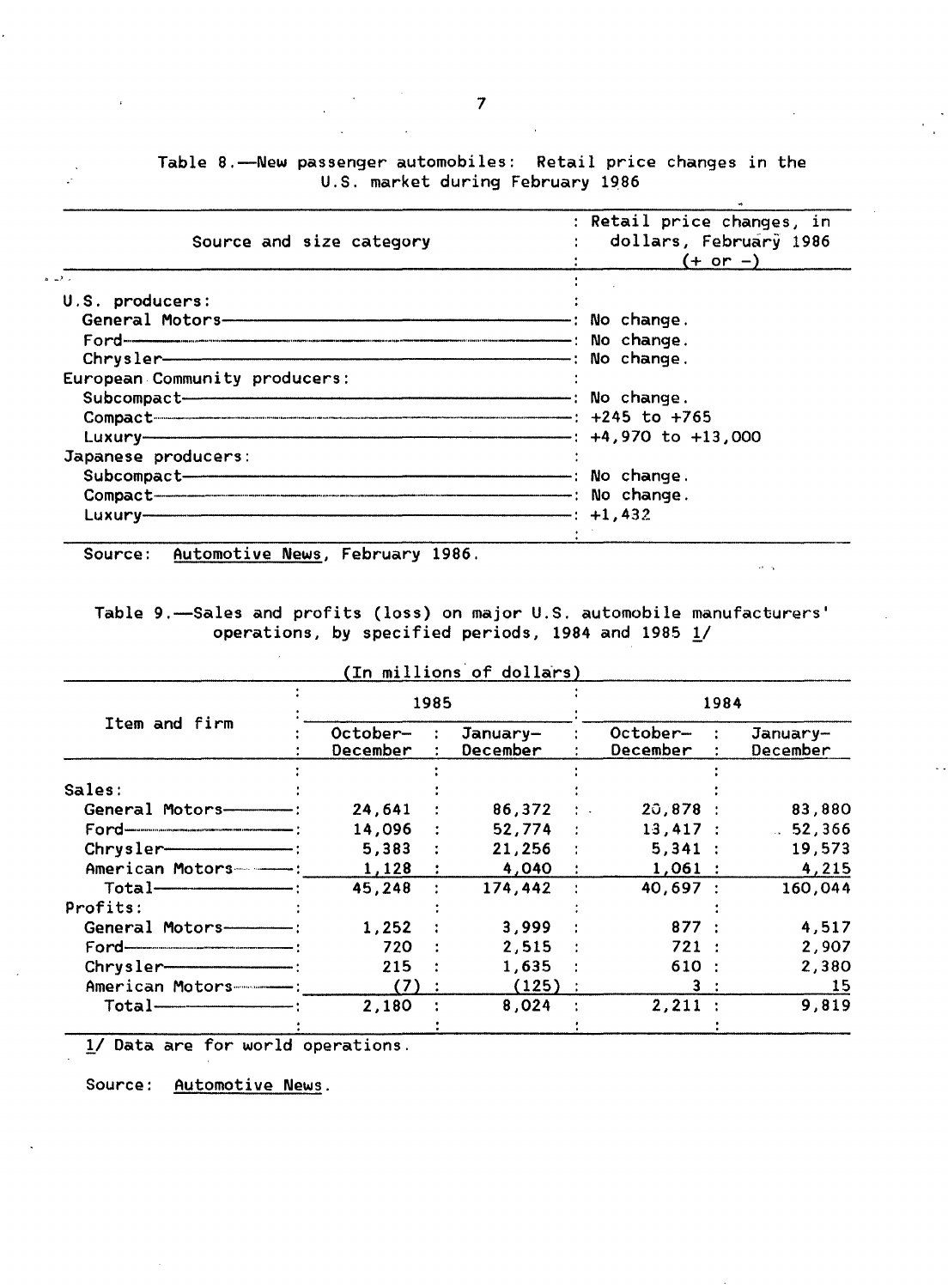Table 8.--New passenger automobiles: Retail price changes in the U.S. market during February 1986

| : Retail price changes, in<br>: dollars, February 1986<br>$(+ or -)$ |
|----------------------------------------------------------------------|
|                                                                      |
|                                                                      |
|                                                                      |
|                                                                      |
|                                                                      |
|                                                                      |
|                                                                      |
| Compact 245 to +765                                                  |
|                                                                      |
|                                                                      |
|                                                                      |
|                                                                      |
| $ +1,432$                                                            |
|                                                                      |

Source: Automotive News, February 1986.

Table 9.-Sales and profits (loss) on major U.S. automobile manufacturers' operations, by specified periods, 1984 and 1985  $1/$ 

 $\hat{\alpha}=\hat{\alpha}$ 

|                                 |                      | 1985 |                      | 1984                 |  |                      |  |  |
|---------------------------------|----------------------|------|----------------------|----------------------|--|----------------------|--|--|
| Item and firm                   | October-<br>December |      | January-<br>December | October-<br>December |  | January-<br>December |  |  |
|                                 |                      |      |                      |                      |  |                      |  |  |
| Sales:                          |                      |      |                      |                      |  |                      |  |  |
| General Motors-------------     | 24,641               |      | $86,372$ :           | 20,878:              |  | 83,880               |  |  |
|                                 | 14,096               |      | 52,774:              | 13,417:              |  | .52,366              |  |  |
| $Chrysler$ $\longrightarrow$    | 5,383                |      | 21,256               | 5,341:               |  | 19,573               |  |  |
| American Motors-----            | 1,128                |      | 4,040 :              | $1,061$ :            |  | 4,215                |  |  |
|                                 | 45,248               |      | 174,442              | 40,697:              |  | 160,044              |  |  |
| Profits:                        |                      |      |                      |                      |  |                      |  |  |
| General Motors----------        | 1,252                |      | 3,999                | 877 :                |  | 4,517                |  |  |
|                                 | 720                  |      | $2,515$ :            | 721:                 |  | 2,907                |  |  |
|                                 | 215                  |      | 1,635                | 610:                 |  | 2,380                |  |  |
| American Motors-------------    | (7)                  |      | (125)                | 3:                   |  | 15                   |  |  |
| $Total$ $\overline{\phantom{}}$ | 2,180                |      | 8,024                | $2,211$ :            |  | 9,819                |  |  |

1/ Data are for world operations.

Source: Automotive News.